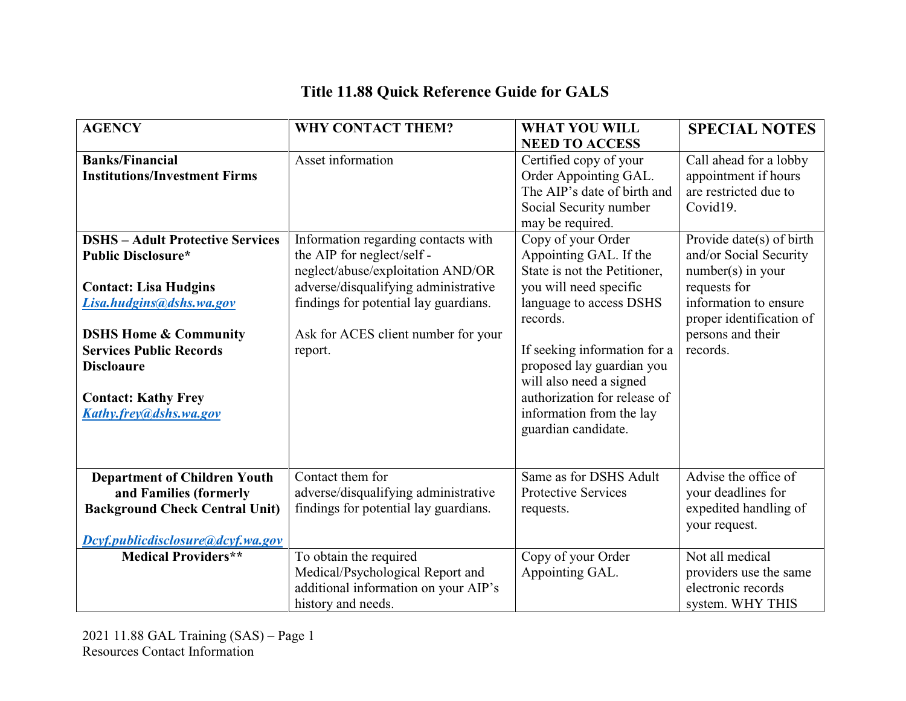## **Title 11.88 Quick Reference Guide for GALS**

| <b>AGENCY</b>                           | WHY CONTACT THEM?                     | <b>WHAT YOU WILL</b>         | <b>SPECIAL NOTES</b>     |
|-----------------------------------------|---------------------------------------|------------------------------|--------------------------|
|                                         |                                       | <b>NEED TO ACCESS</b>        |                          |
| <b>Banks/Financial</b>                  | Asset information                     | Certified copy of your       | Call ahead for a lobby   |
| <b>Institutions/Investment Firms</b>    |                                       | Order Appointing GAL.        | appointment if hours     |
|                                         |                                       | The AIP's date of birth and  | are restricted due to    |
|                                         |                                       | Social Security number       | Covid19.                 |
|                                         |                                       | may be required.             |                          |
| <b>DSHS</b> – Adult Protective Services | Information regarding contacts with   | Copy of your Order           | Provide date(s) of birth |
| <b>Public Disclosure*</b>               | the AIP for neglect/self-             | Appointing GAL. If the       | and/or Social Security   |
|                                         | neglect/abuse/exploitation AND/OR     | State is not the Petitioner, | $number(s)$ in your      |
| <b>Contact: Lisa Hudgins</b>            | adverse/disqualifying administrative  | you will need specific       | requests for             |
| Lisa.hudgins@dshs.wa.gov                | findings for potential lay guardians. | language to access DSHS      | information to ensure    |
|                                         |                                       | records.                     | proper identification of |
| <b>DSHS Home &amp; Community</b>        | Ask for ACES client number for your   |                              | persons and their        |
| <b>Services Public Records</b>          | report.                               | If seeking information for a | records.                 |
| <b>Discloaure</b>                       |                                       | proposed lay guardian you    |                          |
|                                         |                                       | will also need a signed      |                          |
| <b>Contact: Kathy Frey</b>              |                                       | authorization for release of |                          |
| Kathy.frey@dshs.wa.gov                  |                                       | information from the lay     |                          |
|                                         |                                       | guardian candidate.          |                          |
|                                         |                                       |                              |                          |
|                                         |                                       |                              |                          |
| <b>Department of Children Youth</b>     | Contact them for                      | Same as for DSHS Adult       | Advise the office of     |
| and Families (formerly                  | adverse/disqualifying administrative  | <b>Protective Services</b>   | your deadlines for       |
| <b>Background Check Central Unit)</b>   | findings for potential lay guardians. | requests.                    | expedited handling of    |
|                                         |                                       |                              | your request.            |
| Dcyf.publicdisclosure@dcyf.wa.gov       |                                       |                              |                          |
| <b>Medical Providers**</b>              | To obtain the required                | Copy of your Order           | Not all medical          |
|                                         | Medical/Psychological Report and      | Appointing GAL.              | providers use the same   |
|                                         | additional information on your AIP's  |                              | electronic records       |
|                                         | history and needs.                    |                              | system. WHY THIS         |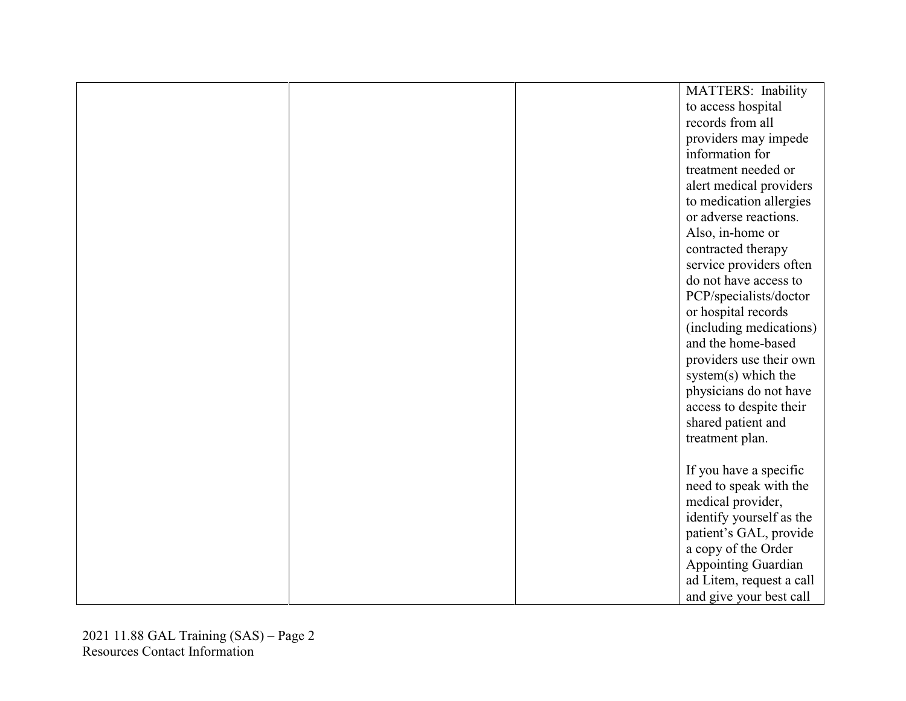|  | MATTERS: Inability         |
|--|----------------------------|
|  | to access hospital         |
|  | records from all           |
|  | providers may impede       |
|  | information for            |
|  | treatment needed or        |
|  | alert medical providers    |
|  | to medication allergies    |
|  | or adverse reactions.      |
|  | Also, in-home or           |
|  | contracted therapy         |
|  | service providers often    |
|  | do not have access to      |
|  | PCP/specialists/doctor     |
|  | or hospital records        |
|  | (including medications)    |
|  | and the home-based         |
|  | providers use their own    |
|  | system $(s)$ which the     |
|  | physicians do not have     |
|  | access to despite their    |
|  | shared patient and         |
|  | treatment plan.            |
|  |                            |
|  | If you have a specific     |
|  | need to speak with the     |
|  | medical provider,          |
|  | identify yourself as the   |
|  | patient's GAL, provide     |
|  | a copy of the Order        |
|  | <b>Appointing Guardian</b> |
|  | ad Litem, request a call   |
|  | and give your best call    |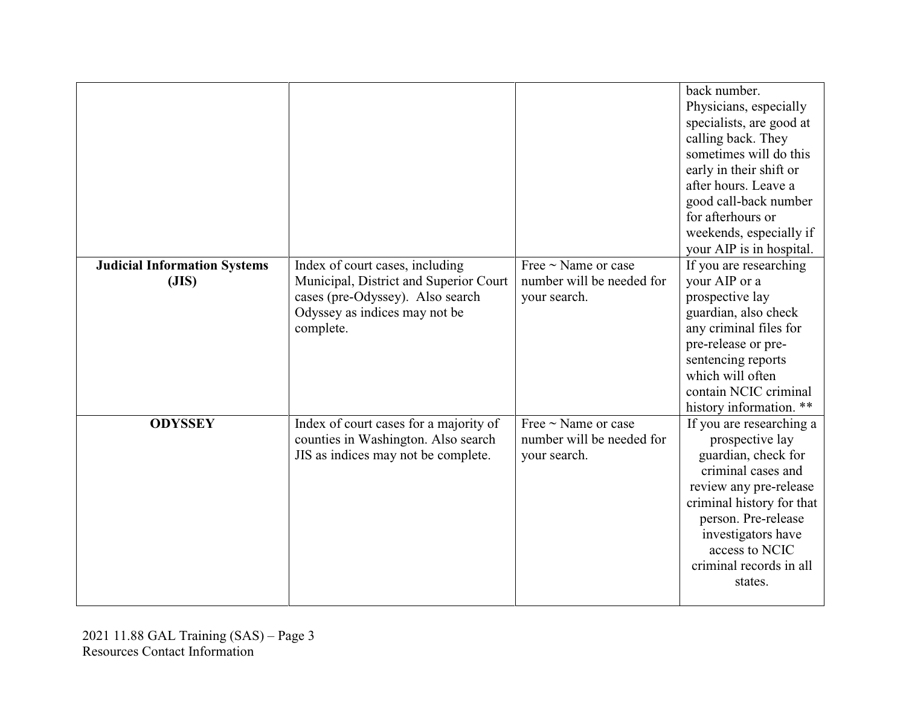|                                              |                                                                           |                                                       | back number.<br>Physicians, especially<br>specialists, are good at<br>calling back. They<br>sometimes will do this<br>early in their shift or<br>after hours. Leave a<br>good call-back number<br>for afterhours or<br>weekends, especially if<br>your AIP is in hospital. |
|----------------------------------------------|---------------------------------------------------------------------------|-------------------------------------------------------|----------------------------------------------------------------------------------------------------------------------------------------------------------------------------------------------------------------------------------------------------------------------------|
| <b>Judicial Information Systems</b><br>(JIS) | Index of court cases, including<br>Municipal, District and Superior Court | Free $\sim$ Name or case<br>number will be needed for | If you are researching<br>your AIP or a                                                                                                                                                                                                                                    |
|                                              | cases (pre-Odyssey). Also search                                          | your search.                                          | prospective lay                                                                                                                                                                                                                                                            |
|                                              | Odyssey as indices may not be                                             |                                                       | guardian, also check                                                                                                                                                                                                                                                       |
|                                              | complete.                                                                 |                                                       | any criminal files for                                                                                                                                                                                                                                                     |
|                                              |                                                                           |                                                       | pre-release or pre-<br>sentencing reports                                                                                                                                                                                                                                  |
|                                              |                                                                           |                                                       | which will often                                                                                                                                                                                                                                                           |
|                                              |                                                                           |                                                       | contain NCIC criminal                                                                                                                                                                                                                                                      |
|                                              |                                                                           |                                                       | history information. **                                                                                                                                                                                                                                                    |
| <b>ODYSSEY</b>                               | Index of court cases for a majority of                                    | Free $\sim$ Name or case                              | If you are researching a                                                                                                                                                                                                                                                   |
|                                              | counties in Washington. Also search                                       | number will be needed for                             | prospective lay                                                                                                                                                                                                                                                            |
|                                              | JIS as indices may not be complete.                                       | your search.                                          | guardian, check for<br>criminal cases and                                                                                                                                                                                                                                  |
|                                              |                                                                           |                                                       | review any pre-release                                                                                                                                                                                                                                                     |
|                                              |                                                                           |                                                       | criminal history for that                                                                                                                                                                                                                                                  |
|                                              |                                                                           |                                                       | person. Pre-release                                                                                                                                                                                                                                                        |
|                                              |                                                                           |                                                       | investigators have                                                                                                                                                                                                                                                         |
|                                              |                                                                           |                                                       | access to NCIC                                                                                                                                                                                                                                                             |
|                                              |                                                                           |                                                       | criminal records in all<br>states.                                                                                                                                                                                                                                         |
|                                              |                                                                           |                                                       |                                                                                                                                                                                                                                                                            |
|                                              |                                                                           |                                                       |                                                                                                                                                                                                                                                                            |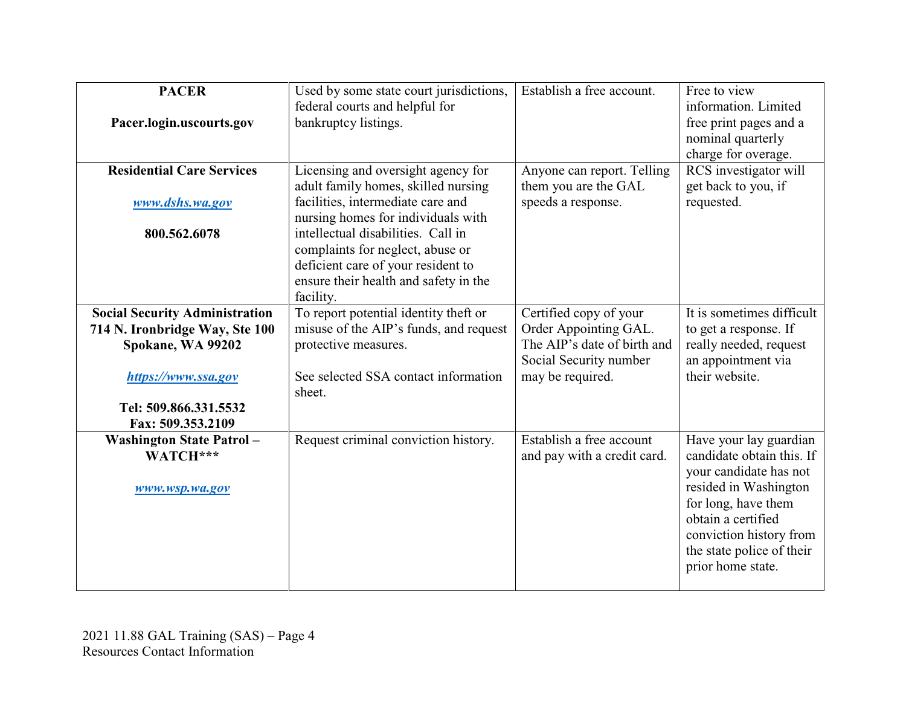| <b>PACER</b><br>Pacer.login.uscourts.gov                                                                                                                          | Used by some state court jurisdictions,<br>federal courts and helpful for<br>bankruptcy listings.                                                                                                                                                                                                                          | Establish a free account.                                                                                                    | Free to view<br>information. Limited<br>free print pages and a<br>nominal quarterly<br>charge for overage.                                                                                                                       |
|-------------------------------------------------------------------------------------------------------------------------------------------------------------------|----------------------------------------------------------------------------------------------------------------------------------------------------------------------------------------------------------------------------------------------------------------------------------------------------------------------------|------------------------------------------------------------------------------------------------------------------------------|----------------------------------------------------------------------------------------------------------------------------------------------------------------------------------------------------------------------------------|
| <b>Residential Care Services</b><br>www.dshs.wa.gov<br>800.562.6078                                                                                               | Licensing and oversight agency for<br>adult family homes, skilled nursing<br>facilities, intermediate care and<br>nursing homes for individuals with<br>intellectual disabilities. Call in<br>complaints for neglect, abuse or<br>deficient care of your resident to<br>ensure their health and safety in the<br>facility. | Anyone can report. Telling<br>them you are the GAL<br>speeds a response.                                                     | RCS investigator will<br>get back to you, if<br>requested.                                                                                                                                                                       |
| <b>Social Security Administration</b><br>714 N. Ironbridge Way, Ste 100<br>Spokane, WA 99202<br>https://www.ssa.gov<br>Tel: 509.866.331.5532<br>Fax: 509.353.2109 | To report potential identity theft or<br>misuse of the AIP's funds, and request<br>protective measures.<br>See selected SSA contact information<br>sheet.                                                                                                                                                                  | Certified copy of your<br>Order Appointing GAL.<br>The AIP's date of birth and<br>Social Security number<br>may be required. | It is sometimes difficult<br>to get a response. If<br>really needed, request<br>an appointment via<br>their website.                                                                                                             |
| <b>Washington State Patrol-</b><br>WATCH***<br>www.wsp.wa.gov                                                                                                     | Request criminal conviction history.                                                                                                                                                                                                                                                                                       | Establish a free account<br>and pay with a credit card.                                                                      | Have your lay guardian<br>candidate obtain this. If<br>your candidate has not<br>resided in Washington<br>for long, have them<br>obtain a certified<br>conviction history from<br>the state police of their<br>prior home state. |